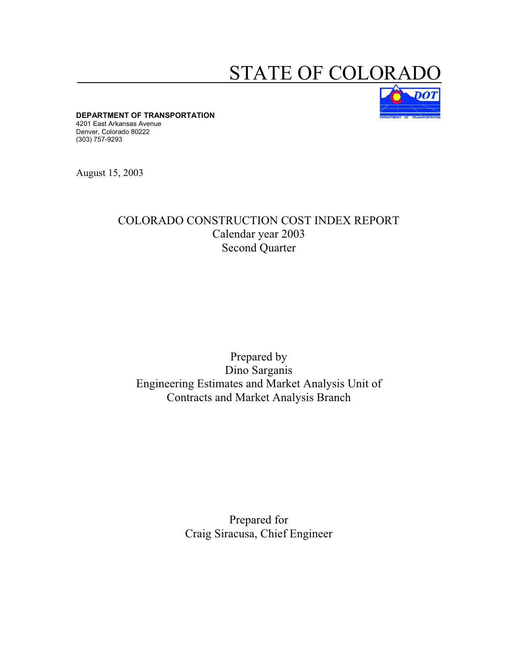## STATE OF COLOR



**DEPARTMENT OF TRANSPORTATION** 

4201 East Arkansas Avenue Denver, Colorado 80222 (303) 757-9293

August 15, 2003

## COLORADO CONSTRUCTION COST INDEX REPORT Calendar year 2003 Second Quarter

## Prepared by Dino Sarganis Engineering Estimates and Market Analysis Unit of Contracts and Market Analysis Branch

## Prepared for Craig Siracusa, Chief Engineer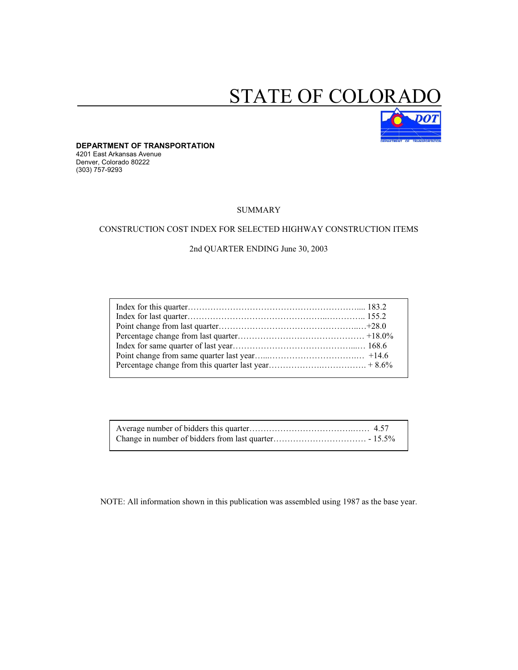# STATE OF COLORAL



**DEPARTMENT OF TRANSPORTATION**  4201 East Arkansas Avenue Denver, Colorado 80222 (303) 757-9293

#### SUMMARY

#### CONSTRUCTION COST INDEX FOR SELECTED HIGHWAY CONSTRUCTION ITEMS

#### 2nd QUARTER ENDING June 30, 2003

NOTE: All information shown in this publication was assembled using 1987 as the base year.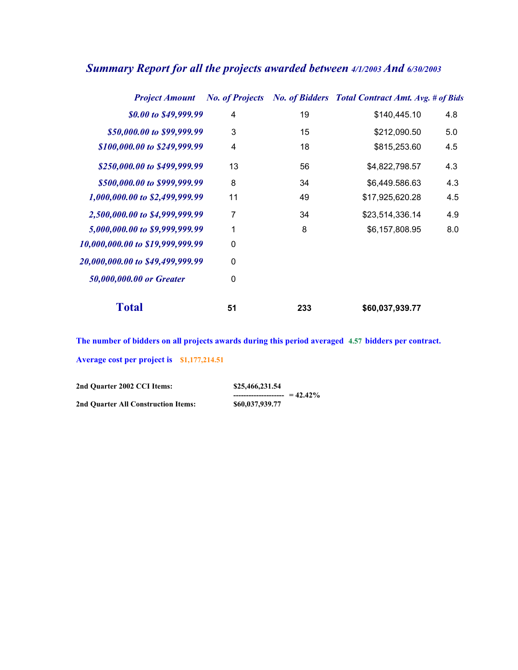| <b>Project Amount</b>            |    |     | No. of Projects No. of Bidders Total Contract Amt. Avg. # of Bids |     |
|----------------------------------|----|-----|-------------------------------------------------------------------|-----|
| \$0.00 to \$49,999.99            | 4  | 19  | \$140,445.10                                                      | 4.8 |
| \$50,000.00 to \$99,999.99       | 3  | 15  | \$212,090.50                                                      | 5.0 |
| \$100,000.00 to \$249,999.99     | 4  | 18  | \$815,253.60                                                      | 4.5 |
| \$250,000.00 to \$499,999.99     | 13 | 56  | \$4,822,798.57                                                    | 4.3 |
| \$500,000.00 to \$999,999.99     | 8  | 34  | \$6,449.586.63                                                    | 4.3 |
| 1,000,000.00 to \$2,499,999.99   | 11 | 49  | \$17,925,620.28                                                   | 4.5 |
| 2,500,000.00 to \$4,999,999.99   | 7  | 34  | \$23,514,336.14                                                   | 4.9 |
| 5,000,000.00 to \$9,999,999.99   | 1  | 8   | \$6,157,808.95                                                    | 8.0 |
| 10,000,000.00 to \$19,999,999.99 | 0  |     |                                                                   |     |
| 20,000,000.00 to \$49,499,999.99 | 0  |     |                                                                   |     |
| 50,000,000.00 or Greater         | 0  |     |                                                                   |     |
| <b>Total</b>                     | 51 | 233 | \$60,037,939.77                                                   |     |

## *Summary Report for all the projects awarded between 4/1/2003 And 6/30/2003*

**The number of bidders on all projects awards during this period averaged 4.57 bidders per contract. Average cost per project is \$1,177,214.51** 

| 2nd Ouarter 2002 CCI Items:         | \$25,466,231,54                    |  |
|-------------------------------------|------------------------------------|--|
|                                     | ---------------------- = $42.42\%$ |  |
| 2nd Ouarter All Construction Items: | \$60,037,939.77                    |  |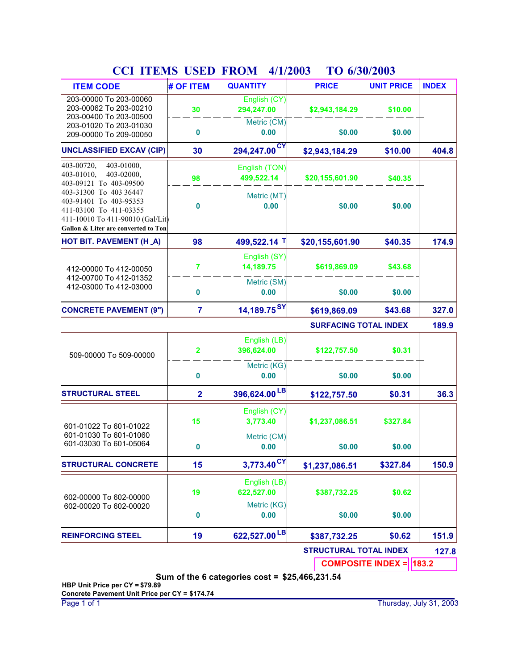| <b>ITEM CODE</b>                                                                                                                                      | # OF ITEM      | <b>QUANTITY</b>             | <b>PRICE</b>                  | <b>UNIT PRICE</b>              | <b>INDEX</b> |
|-------------------------------------------------------------------------------------------------------------------------------------------------------|----------------|-----------------------------|-------------------------------|--------------------------------|--------------|
| 203-00000 To 203-00060<br>203-00062 To 203-00210<br>203-00400 To 203-00500                                                                            | 30             | English (CY)<br>294,247.00  | \$2,943,184.29                | \$10.00                        |              |
| 203-01020 To 203-01030<br>209-00000 To 209-00050                                                                                                      | 0              | Metric (CM)<br>0.00         | \$0.00                        | \$0.00                         |              |
| <b>UNCLASSIFIED EXCAV (CIP)</b>                                                                                                                       | 30             | 294,247.00 <sup>CY</sup>    | \$2,943,184.29                | \$10.00                        | 404.8        |
| 403-01000,<br>403-00720,<br>403-01010,<br>403-02000.<br>403-09121 To 403-09500                                                                        | 98             | English (TON)<br>499,522.14 | \$20,155,601.90               | \$40.35                        |              |
| 403-31300 To 403 36447<br>403-91401 To 403-95353<br>411-03100 To 411-03355<br>411-10010 To 411-90010 (Gal/Lit)<br>Gallon & Liter are converted to Ton | 0              | Metric (MT)<br>0.00         | \$0.00                        | \$0.00                         |              |
| <b>HOT BIT. PAVEMENT (H_A)</b>                                                                                                                        | 98             | 499,522.14 T                | \$20,155,601.90               | \$40.35                        | 174.9        |
| 412-00000 To 412-00050                                                                                                                                | $\overline{7}$ | English (SY)<br>14,189.75   | \$619,869.09                  | \$43.68                        |              |
| 412-00700 To 412-01352<br>412-03000 To 412-03000                                                                                                      | 0              | Metric (SM)<br>0.00         | \$0.00                        | \$0.00                         |              |
| <b>CONCRETE PAVEMENT (9")</b>                                                                                                                         | $\overline{7}$ | 14,189.75 <sup>SY</sup>     | \$619,869.09                  | \$43.68                        | 327.0        |
|                                                                                                                                                       |                |                             | <b>SURFACING TOTAL INDEX</b>  |                                | 189.9        |
| 509-00000 To 509-00000                                                                                                                                | $\overline{2}$ | English (LB)<br>396,624.00  | \$122,757.50                  | \$0.31                         |              |
|                                                                                                                                                       | 0              | Metric (KG)<br>0.00         | \$0.00                        | \$0.00                         |              |
| <b>STRUCTURAL STEEL</b>                                                                                                                               | $\overline{2}$ | 396,624.00LB                | \$122,757.50                  | \$0.31                         | 36.3         |
| 601-01022 To 601-01022                                                                                                                                | 15             | English (CY)<br>3,773.40    | \$1,237,086.51                | \$327.84                       |              |
| 601-01030 To 601-01060<br>601-03030 To 601-05064                                                                                                      | 0              | Metric (CM)<br>0.00         | \$0.00                        | \$0.00                         |              |
| <b>STRUCTURAL CONCRETE</b>                                                                                                                            | 15             | 3,773.40 <sup>CY</sup>      | \$1,237,086.51                | \$327.84                       | 150.9        |
| 602-00000 To 602-00000                                                                                                                                | 19             | English (LB)<br>622,527.00  | \$387,732.25                  | \$0.62                         |              |
| 602-00020 To 602-00020                                                                                                                                | 0              | Metric (KG)<br>0.00         | \$0.00                        | \$0.00                         |              |
| <b>REINFORCING STEEL</b>                                                                                                                              | 19             | 622,527.00 LB               | \$387,732.25                  | \$0.62                         | 151.9        |
|                                                                                                                                                       |                |                             | <b>STRUCTURAL TOTAL INDEX</b> |                                | 127.8        |
|                                                                                                                                                       |                |                             |                               | <b>COMPOSITE INDEX = 183.2</b> |              |

## **CCI ITEMS USED FROM 4/1/2003 TO 6/30/2003**

**Sum of the 6 categories cost = \$25,466,231.54**

**HBP Unit Price per CY = \$79.89 Concrete Pavement Unit Price per CY = \$174.74**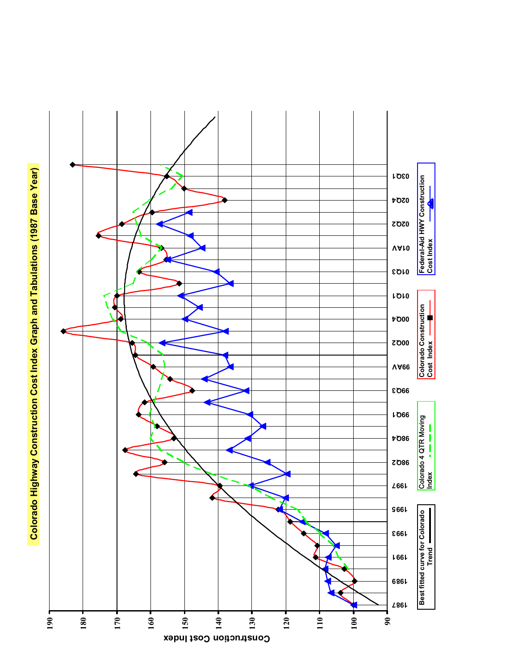Colorado Highway Construction Cost Index Graph and Tabulations (1987 Base Year) **Colorado Highway Construction Cost Index Graph and Tabulations (1987 Base Year)**

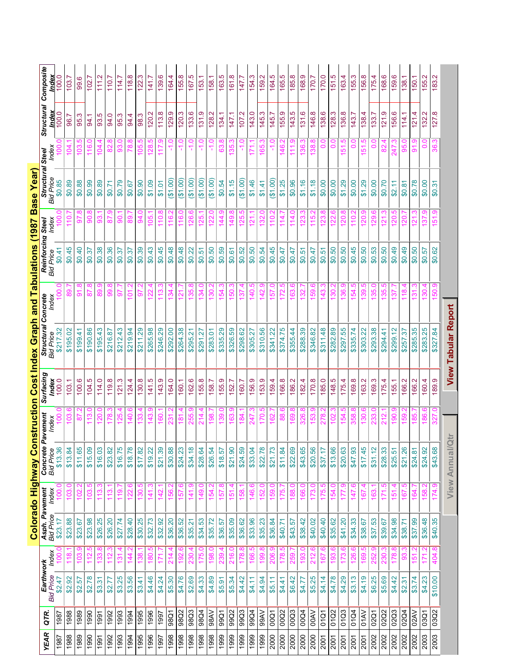|             |             |                               |       |                                                       |                |                              |                   |                    | Colorado Highway Construction Cost Index Graph and Tabulations (1987 Base Year) |                          |                                       |                 |                                  |                       |                            |                    |
|-------------|-------------|-------------------------------|-------|-------------------------------------------------------|----------------|------------------------------|-------------------|--------------------|---------------------------------------------------------------------------------|--------------------------|---------------------------------------|-----------------|----------------------------------|-----------------------|----------------------------|--------------------|
| <b>YEAR</b> | QTR.        | Earthwork<br><b>Bid Price</b> | Index | <b>Asph. Pavement</b><br>Bid Price <sub>.</sub> Index |                | Concrete<br><b>Bid Price</b> | Pavement<br>Index | Surfacing<br>Index | <b>Structural Concrete</b><br>Bid Price Index                                   |                          | Reinforcing Steel<br><b>Bid Price</b> | Index           | <b>Structural :</b><br>Bid Price | Index<br><b>Steel</b> | <b>Structural</b><br>Index | Composite<br>Index |
| 1987        | 1987        | \$2.47                        |       | \$23.17                                               |                | \$13.36                      |                   | 100.0              | \$217.32                                                                        |                          | \$0.41                                |                 | \$0.85                           |                       | 100.0                      | 100                |
| 1988        | 1988        | \$2.92                        |       | \$23.88                                               | 103            | \$13.84                      | g                 | 103.1              | \$195.02                                                                        |                          | \$0.45                                | 110<br>1        | \$0.89                           | 104                   | 96.7                       | 103.7              |
| 1989        | 1989        | \$2.57                        | 103   | \$23.67                                               | 102            | \$11.65                      |                   | 100.6              | \$199.41                                                                        | $\frac{8}{9}$            | \$0.40                                | 57              | \$0.88                           | ယ<br>103              | 95.3                       | 99.6               |
| 1990        | 1990        | \$2.78                        | 112.  | \$23.98                                               | 103            | \$15.09                      | <u>بة</u>         | 104.5              | \$190.86                                                                        | 87.8                     | \$0.37                                | 90              | \$0.99                           | 116.0                 | 94.1                       | 102.7              |
| 1991        | 1991        | \$3.31                        | 33    | \$26.25                                               |                | \$16.03                      | <u>ន</u>          | 114.0              | \$195.43                                                                        | 89                       | \$0.38                                | 83              | \$0.89                           | ĦЛ                    | 93.5                       | 111.2              |
| 1992        | 1992        | \$2.77                        |       | \$26.20                                               |                | \$23.82                      |                   | 119.8              | \$216.87                                                                        | ၜၟ                       | \$0.36                                | 78              | \$0.71                           | စ္တ                   | 94.0                       | $\frac{0}{10}$     |
| 1993        | 1993        | \$3.25                        | 131   | \$27.74                                               | $\frac{9}{10}$ | \$16.75                      |                   | 121.3              | \$212.43                                                                        | 5                        | \$0.37                                | 8               | \$0.79                           | 8                     | 95.3                       | 114.               |
| 1994        | 1994        | \$3.56                        | 144   | \$28.40                                               | 122            | \$18.78                      | 140.6             | 124.4              | \$219.94                                                                        | 101.2                    | \$0.37                                | 89              | \$0.67                           | 78.8                  | 94.4                       | 118.8              |
| 1995        | 1995        | \$3.41                        | 138.  | \$30.25                                               | 130.           | \$17.82                      | 133.              | 130.8              | \$211.29                                                                        | 56                       | \$0.39                                | $\frac{6}{4}$   | \$0.90                           | <u>ທ</u><br>105.      | 98.3                       | 122.3              |
| 1996        | 1996        | \$4.46                        | 180   | \$32.73                                               | 141            | \$19.22                      | 143               | 141.5              | \$265.98                                                                        | 122                      | \$0.43                                | 105             | \$1.09                           | ഥ<br>128              | 120.2                      | 141.7              |
| 1997        | 1997        | \$4.24                        | 171   | \$32.92                                               | 142            | \$21.39                      | 160               | 143.9              | \$246.29                                                                        | ო<br><u>13</u>           | \$0.45                                | 110.            | \$1.01                           | <u> တ</u><br>117      | 113.8                      | 139.6              |
| 1998        | 98Q1        | \$5.30                        | 214   | \$36.20                                               | 156.2          | \$30.88                      | 231               | 164.0              | \$292.00                                                                        | 134.                     | \$0.48                                | $\frac{6}{10}$  | (61.00)                          | ں<br>ہ                | 129.9                      | 164.4              |
| 1998        | 98Q2        | \$4.76                        | 192.6 | \$36.52                                               | 157.6          | \$24.23                      | 181.              | 160.1              | \$264.38                                                                        | 121.7                    | \$0.48                                | 116.0           | (61.00)                          | ۹                     | 120.3                      | 55.8               |
| 1998        | 98Q3        | \$2.69                        | 230.4 | \$35.21                                               | $\frac{14}{1}$ | \$34.18                      | 255.              | 162.6              | \$295.21                                                                        | œ<br>135.                | \$0.22                                | 126.            | (61.00)                          | ۹.<br>۲               | 133.6                      | 167.5              |
| 1998        | 98Q4        | \$4.33                        | 175.  | \$34.53                                               | 149.           | \$28.64                      | 214               | 155.8              | \$291.27                                                                        | 134                      | \$0.51                                | 125             | (61.00)                          | Q<br>۳                | 131.9                      | 153.1              |
| 1998        | 98AV        | \$4.89                        | 198.0 | \$35.72                                               | 154.           | \$26.54                      | 198               | 158.7              | \$283.01                                                                        | $\frac{8}{30}$           | \$0.50                                | <u>ss</u>       | (61.00)                          | Q                     | 128.2                      | 158.1              |
| 1999        | 99Q         | \$5.91                        | 239.  | \$36.57                                               | 157            | \$18.57                      | 139.              | 155.9              | \$335.29                                                                        | 54.                      | \$0.59                                | 144.            | \$0.54                           | œ<br>යි.              | 134.1                      | 163.5              |
| 1999        | 99Q2        | \$5.34                        | 216.0 | \$35.09                                               | 151.4          | \$21.90                      | 163.9             | 152.7              | \$326.59                                                                        | 150.3                    | \$0.61                                | 149.8           | \$1.15                           | 135.3                 | 147.1                      | 161.8              |
| 1999        | 99Q3        | \$4.42                        | 178.8 | \$36.62                                               | 158.           | \$24.59                      | 184.              | 160.7              | \$298.62                                                                        | 137                      | \$0.52                                | 125             | (61.00)                          | ۹.                    | 107.2                      | 147.7              |
| 1999        | 99Q4        | \$4.11                        | 166.  | \$33.96                                               | 146.6          | \$33.04                      | 247               | 156.9              | \$305.27                                                                        | ю<br>140.                | \$0.50                                | $\frac{21}{2}$  | \$1.46                           | 171                   | 143.0                      | 154.3              |
| 1999        | <b>NV66</b> | \$4.94                        | 199.  | \$35.23                                               | 152.           | \$22.78                      | 170               | 153.9              | \$310.56                                                                        | <u> တ</u><br>142.        | \$0.54                                | 132.            | \$1.41                           | 165                   | 145.3                      | 159.2              |
| 2000        | 00Q1        | \$5.11                        | 206.9 | \$36.84                                               | 159.0          | \$21.73                      | 162               | 159.4              | \$341.22                                                                        | 157.0                    | \$0.45                                | $\frac{10}{1}$  | (61.00)                          | ٥ <sub>٠</sub>        | 145.7                      | 164.5              |
| 2000        | 00Q2        | \$4.41                        | 178.  | \$40.71                                               | 175.           | \$11.84                      | <u>ဆွ</u>         | 166.8              | \$374.75                                                                        | rö<br>172.               | \$0.47                                | $\frac{14}{1}$  | \$1.25                           | 146.                  | 155.9                      | 165.5              |
| 2000        | 00Q3        | \$6.42                        | 259   | \$43.57                                               | 188.0          | \$22.69                      | 169               | 186.2              | \$355.44                                                                        | 163.6                    | \$0.47                                | $\frac{4}{1}$   | \$0.96                           | بە<br>11              | 143.5                      | 185.8              |
| 2000        | 00Q4        | \$4.77                        | 193   | \$38.42                                               | 166.0          | \$43.65                      | 326               | 182.4              | \$288.39                                                                        | 132                      | \$0.51                                | 123             | \$1.16                           | 136                   | 131.6                      | 168.9              |
| 2000        | <b>OOAV</b> | \$5.25                        |       | \$40.02                                               |                | \$20.56                      | <u>යි</u>         | 170.8              | \$346.82                                                                        | 59                       | 47.04                                 | 115             | \$1.18                           | 38                    | 146.8                      | 170.7              |
| 2001        | 01Q1        | \$4.14                        | 167.  | \$40.40                                               | 175.           | \$37.17                      | 278               | 185.0              | \$311.48                                                                        | $\frac{43}{5}$           | \$0.51                                | $\frac{23}{2}$  | \$0.00                           | 0.0                   | 138.6                      | 170.0              |
| 2001        | 01Q2        | \$4.78                        | 193.  | \$35.62                                               | 154.0          | \$13.66                      | 102               | 148.5              | \$282.89                                                                        | 130.2                    | \$0.50                                | 122             | \$0.00                           | 0.0                   | 128.3                      | 151.5              |
| 2001        | 01Q3        | \$4.29                        |       | \$41.20                                               |                | \$20.63                      | ηŞ,               | 175.4              | \$297.55                                                                        | .<br>36                  | \$0.50                                | $\frac{20}{5}$  | \$1.29                           | 51                    | 136.8                      | 163.4              |
| 2001        | 01Q4        | \$3.13                        | 126   | \$34.33                                               | 147            | \$47.93                      | 358               | 169.8              | \$335.74                                                                        | ယ္<br>154                | \$0.45                                | $\frac{10}{1}$  | \$0.00                           | ခ                     | 143.7                      | 155.3              |
| 2001        | <b>OHAV</b> | \$4.19                        | 69    | \$38.67                                               | 167            | \$17.45                      |                   | 163.2              | \$303.22                                                                        | 5<br>39                  | \$0.50                                | $\overline{20}$ | \$1.29                           | 51.                   | 138.4                      | 56.8               |
| 2002        | 02Q1        | \$6.25                        | ř.    | \$37.53                                               | 163            | \$31.12                      |                   | 169.3              | \$293.38                                                                        | ඝ                        | \$0.53                                | <u>ဇွ</u>       | \$0.00                           | ö                     | 133.7                      | 175.4              |
| 2002        | 02Q2        | \$5.69                        | ౭     | \$39.67                                               |                | \$28.33                      |                   | 175.4              | \$294.41                                                                        |                          | 60.50                                 |                 | \$0.70                           |                       | 121.9                      | 168.6              |
| 2002        | 02Q3        | \$4.42                        | 78    | \$34.98                                               | ېق             | \$25.51                      | 8                 | 155.1              | \$299.12                                                                        |                          | \$0.49                                |                 | \$2.11                           |                       | 156.6                      | G<br>159.          |
| 2002        | 02Q4        | \$2.31                        | 83    | \$38.71                                               | 167            | \$21.26                      | 159               | 166.2              | \$257.37                                                                        | 118                      | \$0.49                                | 120             | \$0.81                           | 8                     | 114.1                      | 138.1              |
| 2002        | 02AV        | \$3.74                        | 151   | \$37.99                                               | 164            | \$24.81                      | 85                | 166.2              | \$285.35                                                                        | $\overline{\mathcal{E}}$ | \$0.50                                | $\overline{21}$ | \$0.78                           | <u>တ</u><br>5         | 121.4                      | 150.1              |
| 2003        | 03Q1        | \$4.23                        |       | \$36.48                                               | 158            | \$24.92                      | 186.              | 160.4              | \$283.25                                                                        | 130.4                    | \$0.57                                | တ<br>137        | \$0.00                           | $\frac{0}{0}$         | 132.2                      | 155.2              |
| 2003        | 03Q2        | \$10.00                       | 404.8 | \$40.35                                               | 174.9          | \$43.68                      | 327.              | 189.9              | \$327.84                                                                        | 50.                      | \$0.62                                | 151.9           | \$0.31                           | 36.3                  | 127.8                      | 183.2              |
|             |             |                               |       |                                                       |                | <b>View Annual/Qtr</b>       |                   |                    | <b>View Tabular Report</b>                                                      |                          |                                       |                 |                                  |                       |                            |                    |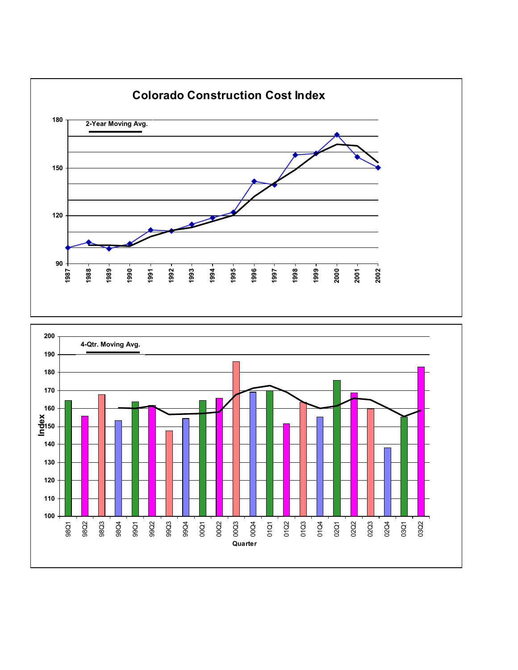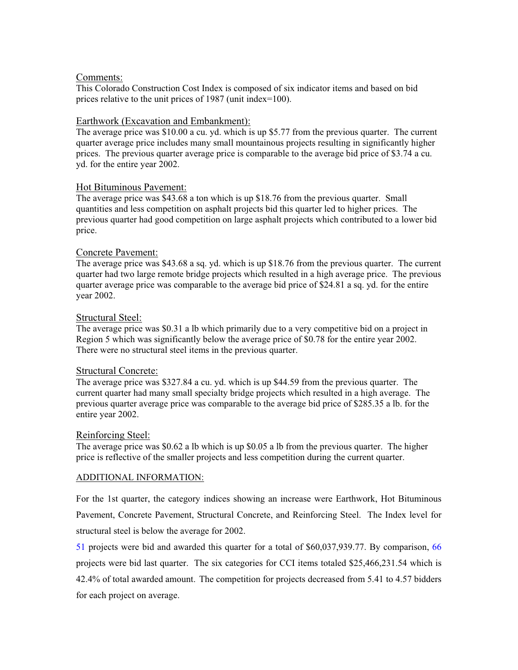## Comments:

This Colorado Construction Cost Index is composed of six indicator items and based on bid prices relative to the unit prices of 1987 (unit index=100).

## Earthwork (Excavation and Embankment):

The average price was \$10.00 a cu. yd. which is up \$5.77 from the previous quarter. The current quarter average price includes many small mountainous projects resulting in significantly higher prices. The previous quarter average price is comparable to the average bid price of \$3.74 a cu. yd. for the entire year 2002.

## Hot Bituminous Pavement:

The average price was \$43.68 a ton which is up \$18.76 from the previous quarter. Small quantities and less competition on asphalt projects bid this quarter led to higher prices. The previous quarter had good competition on large asphalt projects which contributed to a lower bid price.

## Concrete Pavement:

The average price was \$43.68 a sq. yd. which is up \$18.76 from the previous quarter. The current quarter had two large remote bridge projects which resulted in a high average price. The previous quarter average price was comparable to the average bid price of \$24.81 a sq. yd. for the entire year 2002.

## Structural Steel:

The average price was \$0.31 a lb which primarily due to a very competitive bid on a project in Region 5 which was significantly below the average price of \$0.78 for the entire year 2002. There were no structural steel items in the previous quarter.

## Structural Concrete:

The average price was \$327.84 a cu. yd. which is up \$44.59 from the previous quarter. The current quarter had many small specialty bridge projects which resulted in a high average. The previous quarter average price was comparable to the average bid price of \$285.35 a lb. for the entire year 2002.

## Reinforcing Steel:

The average price was \$0.62 a lb which is up \$0.05 a lb from the previous quarter. The higher price is reflective of the smaller projects and less competition during the current quarter.

## ADDITIONAL INFORMATION:

For the 1st quarter, the category indices showing an increase were Earthwork, Hot Bituminous Pavement, Concrete Pavement, Structural Concrete, and Reinforcing Steel. The Index level for structural steel is below the average for 2002.

51 projects were bid and awarded this quarter for a total of \$60,037,939.77. By comparison, 66 projects were bid last quarter. The six categories for CCI items totaled \$25,466,231.54 which is 42.4% of total awarded amount. The competition for projects decreased from 5.41 to 4.57 bidders for each project on average.